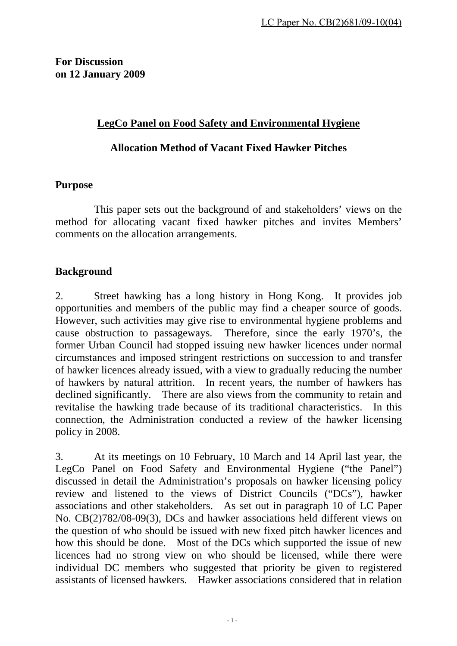# **LegCo Panel on Food Safety and Environmental Hygiene**

## **Allocation Method of Vacant Fixed Hawker Pitches**

## **Purpose**

 This paper sets out the background of and stakeholders' views on the method for allocating vacant fixed hawker pitches and invites Members' comments on the allocation arrangements.

# **Background**

2. Street hawking has a long history in Hong Kong. It provides job opportunities and members of the public may find a cheaper source of goods. However, such activities may give rise to environmental hygiene problems and cause obstruction to passageways. Therefore, since the early 1970's, the former Urban Council had stopped issuing new hawker licences under normal circumstances and imposed stringent restrictions on succession to and transfer of hawker licences already issued, with a view to gradually reducing the number of hawkers by natural attrition. In recent years, the number of hawkers has declined significantly. There are also views from the community to retain and revitalise the hawking trade because of its traditional characteristics. In this connection, the Administration conducted a review of the hawker licensing policy in 2008.

3. At its meetings on 10 February, 10 March and 14 April last year, the LegCo Panel on Food Safety and Environmental Hygiene ("the Panel") discussed in detail the Administration's proposals on hawker licensing policy review and listened to the views of District Councils ("DCs"), hawker associations and other stakeholders. As set out in paragraph 10 of LC Paper No. CB(2)782/08-09(3), DCs and hawker associations held different views on the question of who should be issued with new fixed pitch hawker licences and how this should be done. Most of the DCs which supported the issue of new licences had no strong view on who should be licensed, while there were individual DC members who suggested that priority be given to registered assistants of licensed hawkers. Hawker associations considered that in relation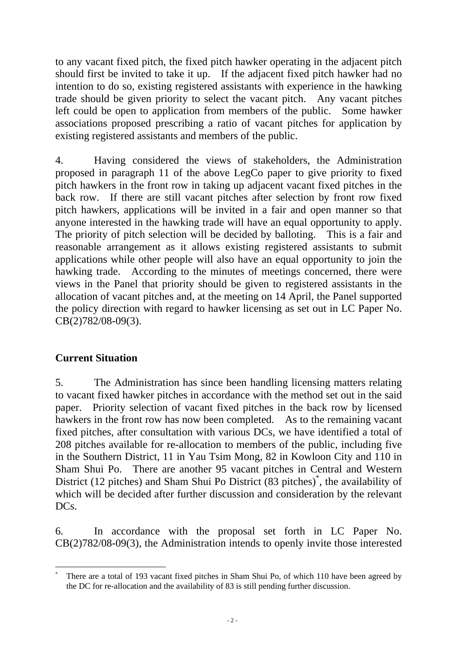to any vacant fixed pitch, the fixed pitch hawker operating in the adjacent pitch should first be invited to take it up. If the adjacent fixed pitch hawker had no intention to do so, existing registered assistants with experience in the hawking trade should be given priority to select the vacant pitch. Any vacant pitches left could be open to application from members of the public. Some hawker associations proposed prescribing a ratio of vacant pitches for application by existing registered assistants and members of the public.

4. Having considered the views of stakeholders, the Administration proposed in paragraph 11 of the above LegCo paper to give priority to fixed pitch hawkers in the front row in taking up adjacent vacant fixed pitches in the back row. If there are still vacant pitches after selection by front row fixed pitch hawkers, applications will be invited in a fair and open manner so that anyone interested in the hawking trade will have an equal opportunity to apply. The priority of pitch selection will be decided by balloting. This is a fair and reasonable arrangement as it allows existing registered assistants to submit applications while other people will also have an equal opportunity to join the hawking trade. According to the minutes of meetings concerned, there were views in the Panel that priority should be given to registered assistants in the allocation of vacant pitches and, at the meeting on 14 April, the Panel supported the policy direction with regard to hawker licensing as set out in LC Paper No. CB(2)782/08-09(3).

# **Current Situation**

 $\overline{a}$ 

5. The Administration has since been handling licensing matters relating to vacant fixed hawker pitches in accordance with the method set out in the said paper. Priority selection of vacant fixed pitches in the back row by licensed hawkers in the front row has now been completed. As to the remaining vacant fixed pitches, after consultation with various DCs, we have identified a total of 208 pitches available for re-allocation to members of the public, including five in the Southern District, 11 in Yau Tsim Mong, 82 in Kowloon City and 110 in Sham Shui Po. There are another 95 vacant pitches in Central and Western District (12 pitches) and Sham Shui Po District (83 pitches)<sup>\*</sup>, the availability of which will be decided after further discussion and consideration by the relevant DCs.

6. In accordance with the proposal set forth in LC Paper No. CB(2)782/08-09(3), the Administration intends to openly invite those interested

<sup>\*</sup> There are a total of 193 vacant fixed pitches in Sham Shui Po, of which 110 have been agreed by the DC for re-allocation and the availability of 83 is still pending further discussion.